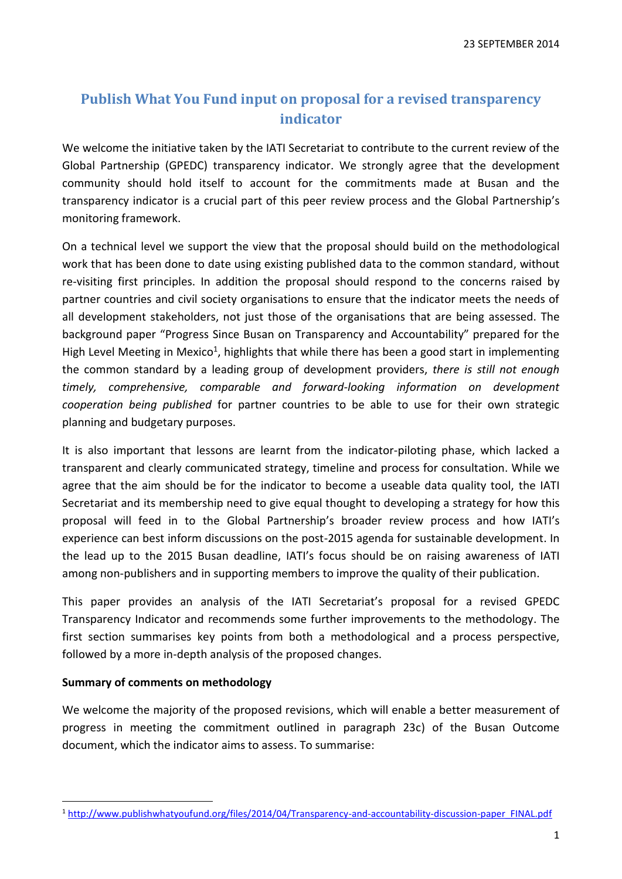# **Publish What You Fund input on proposal for a revised transparency indicator**

We welcome the initiative taken by the IATI Secretariat to contribute to the current review of the Global Partnership (GPEDC) transparency indicator. We strongly agree that the development community should hold itself to account for the commitments made at Busan and the transparency indicator is a crucial part of this peer review process and the Global Partnership's monitoring framework.

On a technical level we support the view that the proposal should build on the methodological work that has been done to date using existing published data to the common standard, without re-visiting first principles. In addition the proposal should respond to the concerns raised by partner countries and civil society organisations to ensure that the indicator meets the needs of all development stakeholders, not just those of the organisations that are being assessed. The background paper "Progress Since Busan on Transparency and Accountability" prepared for the High Level Meeting in Mexico<sup>1</sup>, highlights that while there has been a good start in implementing the common standard by a leading group of development providers, *there is still not enough timely, comprehensive, comparable and forward-looking information on development cooperation being published* for partner countries to be able to use for their own strategic planning and budgetary purposes.

It is also important that lessons are learnt from the indicator-piloting phase, which lacked a transparent and clearly communicated strategy, timeline and process for consultation. While we agree that the aim should be for the indicator to become a useable data quality tool, the IATI Secretariat and its membership need to give equal thought to developing a strategy for how this proposal will feed in to the Global Partnership's broader review process and how IATI's experience can best inform discussions on the post-2015 agenda for sustainable development. In the lead up to the 2015 Busan deadline, IATI's focus should be on raising awareness of IATI among non-publishers and in supporting members to improve the quality of their publication.

This paper provides an analysis of the IATI Secretariat's proposal for a revised GPEDC Transparency Indicator and recommends some further improvements to the methodology. The first section summarises key points from both a methodological and a process perspective, followed by a more in-depth analysis of the proposed changes.

# **Summary of comments on methodology**

 $\overline{a}$ 

We welcome the majority of the proposed revisions, which will enable a better measurement of progress in meeting the commitment outlined in paragraph 23c) of the Busan Outcome document, which the indicator aims to assess. To summarise:

<sup>1</sup> [http://www.publishwhatyoufund.org/files/2014/04/Transparency-and-accountability-discussion-paper\\_FINAL.pdf](http://www.publishwhatyoufund.org/files/2014/04/Transparency-and-accountability-discussion-paper_FINAL.pdf)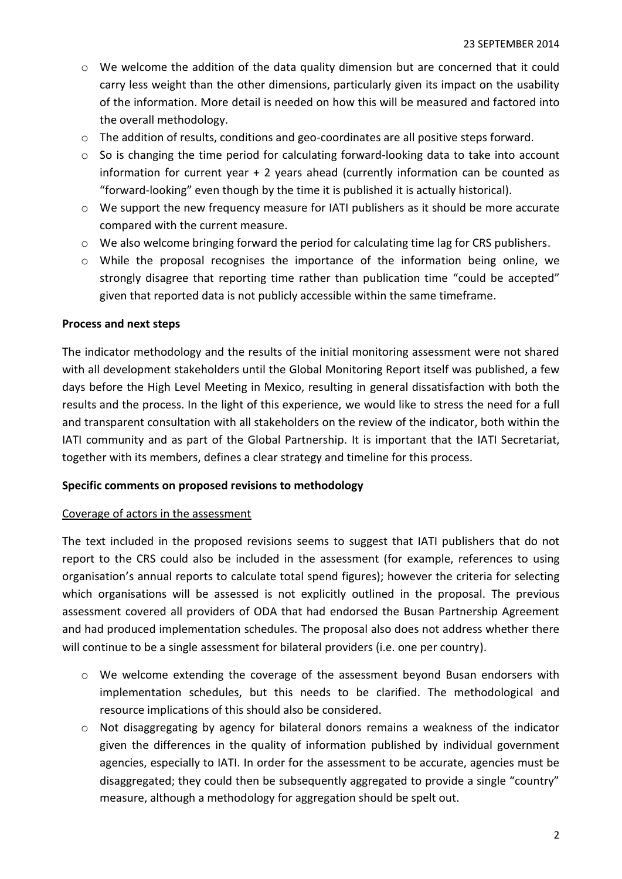- o We welcome the addition of the data quality dimension but are concerned that it could carry less weight than the other dimensions, particularly given its impact on the usability of the information. More detail is needed on how this will be measured and factored into the overall methodology.
- o The addition of results, conditions and geo-coordinates are all positive steps forward.
- $\circ$  So is changing the time period for calculating forward-looking data to take into account information for current year + 2 years ahead (currently information can be counted as "forward-looking" even though by the time it is published it is actually historical).
- o We support the new frequency measure for IATI publishers as it should be more accurate compared with the current measure.
- o We also welcome bringing forward the period for calculating time lag for CRS publishers.
- o While the proposal recognises the importance of the information being online, we strongly disagree that reporting time rather than publication time "could be accepted" given that reported data is not publicly accessible within the same timeframe.

## **Process and next steps**

The indicator methodology and the results of the initial monitoring assessment were not shared with all development stakeholders until the Global Monitoring Report itself was published, a few days before the High Level Meeting in Mexico, resulting in general dissatisfaction with both the results and the process. In the light of this experience, we would like to stress the need for a full and transparent consultation with all stakeholders on the review of the indicator, both within the IATI community and as part of the Global Partnership. It is important that the IATI Secretariat, together with its members, defines a clear strategy and timeline for this process.

#### **Specific comments on proposed revisions to methodology**

#### Coverage of actors in the assessment

The text included in the proposed revisions seems to suggest that IATI publishers that do not report to the CRS could also be included in the assessment (for example, references to using organisation's annual reports to calculate total spend figures); however the criteria for selecting which organisations will be assessed is not explicitly outlined in the proposal. The previous assessment covered all providers of ODA that had endorsed the Busan Partnership Agreement and had produced implementation schedules. The proposal also does not address whether there will continue to be a single assessment for bilateral providers (i.e. one per country).

- o We welcome extending the coverage of the assessment beyond Busan endorsers with implementation schedules, but this needs to be clarified. The methodological and resource implications of this should also be considered.
- o Not disaggregating by agency for bilateral donors remains a weakness of the indicator given the differences in the quality of information published by individual government agencies, especially to IATI. In order for the assessment to be accurate, agencies must be disaggregated; they could then be subsequently aggregated to provide a single "country" measure, although a methodology for aggregation should be spelt out.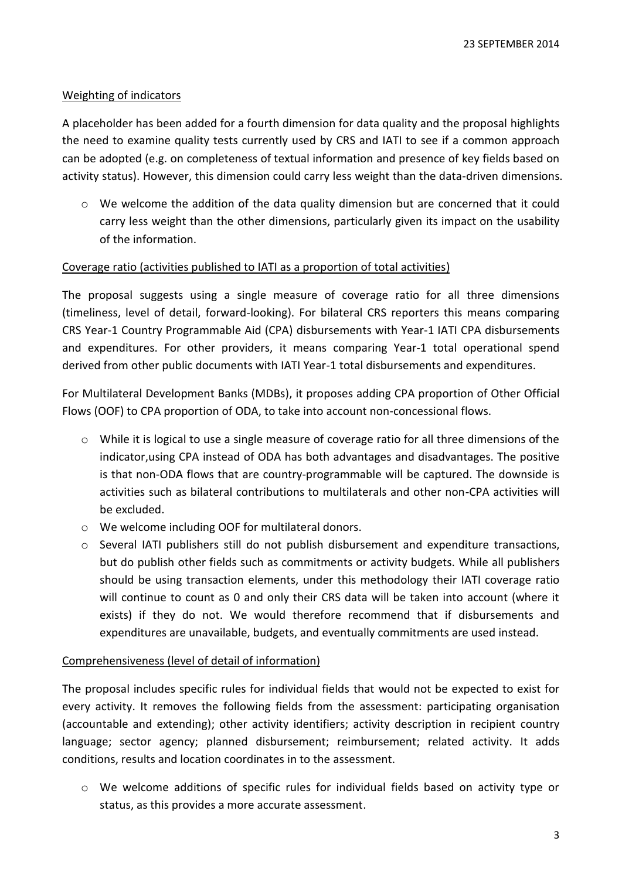## Weighting of indicators

A placeholder has been added for a fourth dimension for data quality and the proposal highlights the need to examine quality tests currently used by CRS and IATI to see if a common approach can be adopted (e.g. on completeness of textual information and presence of key fields based on activity status). However, this dimension could carry less weight than the data-driven dimensions.

o We welcome the addition of the data quality dimension but are concerned that it could carry less weight than the other dimensions, particularly given its impact on the usability of the information.

#### Coverage ratio (activities published to IATI as a proportion of total activities)

The proposal suggests using a single measure of coverage ratio for all three dimensions (timeliness, level of detail, forward-looking). For bilateral CRS reporters this means comparing CRS Year-1 Country Programmable Aid (CPA) disbursements with Year-1 IATI CPA disbursements and expenditures. For other providers, it means comparing Year-1 total operational spend derived from other public documents with IATI Year-1 total disbursements and expenditures.

For Multilateral Development Banks (MDBs), it proposes adding CPA proportion of Other Official Flows (OOF) to CPA proportion of ODA, to take into account non-concessional flows.

- o While it is logical to use a single measure of coverage ratio for all three dimensions of the indicator,using CPA instead of ODA has both advantages and disadvantages. The positive is that non-ODA flows that are country-programmable will be captured. The downside is activities such as bilateral contributions to multilaterals and other non-CPA activities will be excluded.
- o We welcome including OOF for multilateral donors.
- $\circ$  Several IATI publishers still do not publish disbursement and expenditure transactions, but do publish other fields such as commitments or activity budgets. While all publishers should be using transaction elements, under this methodology their IATI coverage ratio will continue to count as 0 and only their CRS data will be taken into account (where it exists) if they do not. We would therefore recommend that if disbursements and expenditures are unavailable, budgets, and eventually commitments are used instead.

#### Comprehensiveness (level of detail of information)

The proposal includes specific rules for individual fields that would not be expected to exist for every activity. It removes the following fields from the assessment: participating organisation (accountable and extending); other activity identifiers; activity description in recipient country language; sector agency; planned disbursement; reimbursement; related activity. It adds conditions, results and location coordinates in to the assessment.

o We welcome additions of specific rules for individual fields based on activity type or status, as this provides a more accurate assessment.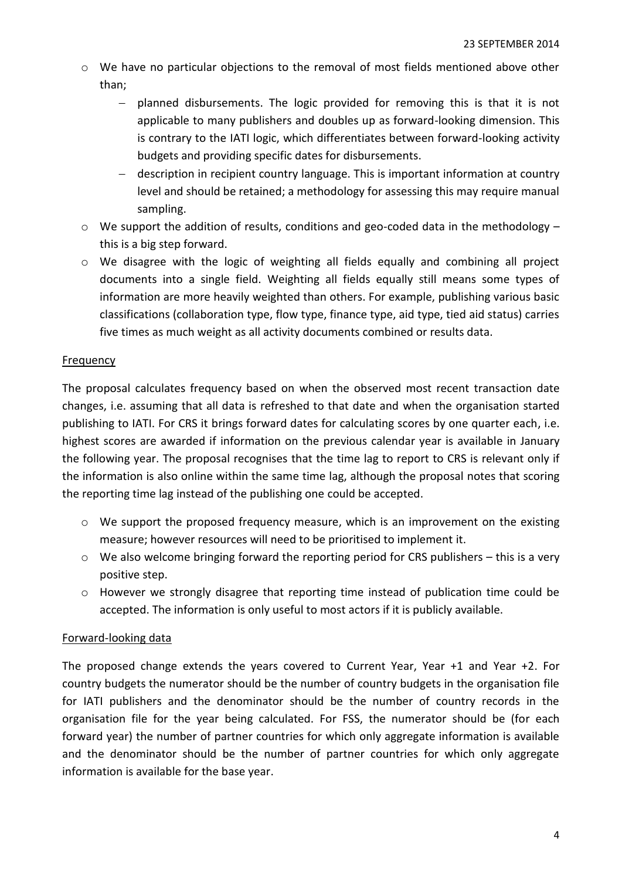- o We have no particular objections to the removal of most fields mentioned above other than;
	- planned disbursements. The logic provided for removing this is that it is not applicable to many publishers and doubles up as forward-looking dimension. This is contrary to the IATI logic, which differentiates between forward-looking activity budgets and providing specific dates for disbursements.
	- description in recipient country language. This is important information at country level and should be retained; a methodology for assessing this may require manual sampling.
- $\circ$  We support the addition of results, conditions and geo-coded data in the methodology this is a big step forward.
- o We disagree with the logic of weighting all fields equally and combining all project documents into a single field. Weighting all fields equally still means some types of information are more heavily weighted than others. For example, publishing various basic classifications (collaboration type, flow type, finance type, aid type, tied aid status) carries five times as much weight as all activity documents combined or results data.

## **Frequency**

The proposal calculates frequency based on when the observed most recent transaction date changes, i.e. assuming that all data is refreshed to that date and when the organisation started publishing to IATI. For CRS it brings forward dates for calculating scores by one quarter each, i.e. highest scores are awarded if information on the previous calendar year is available in January the following year. The proposal recognises that the time lag to report to CRS is relevant only if the information is also online within the same time lag, although the proposal notes that scoring the reporting time lag instead of the publishing one could be accepted.

- o We support the proposed frequency measure, which is an improvement on the existing measure; however resources will need to be prioritised to implement it.
- o We also welcome bringing forward the reporting period for CRS publishers this is a very positive step.
- o However we strongly disagree that reporting time instead of publication time could be accepted. The information is only useful to most actors if it is publicly available.

# Forward-looking data

The proposed change extends the years covered to Current Year, Year +1 and Year +2. For country budgets the numerator should be the number of country budgets in the organisation file for IATI publishers and the denominator should be the number of country records in the organisation file for the year being calculated. For FSS, the numerator should be (for each forward year) the number of partner countries for which only aggregate information is available and the denominator should be the number of partner countries for which only aggregate information is available for the base year.